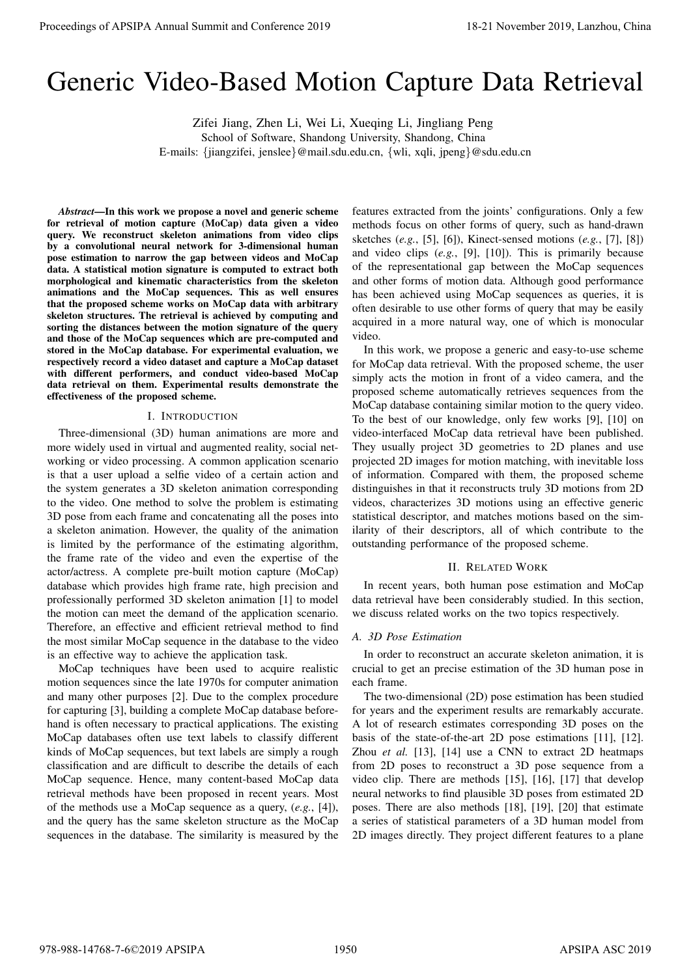# Generic Video-Based Motion Capture Data Retrieval

Zifei Jiang, Zhen Li, Wei Li, Xueqing Li, Jingliang Peng

School of Software, Shandong University, Shandong, China

E-mails: {jiangzifei, jenslee}@mail.sdu.edu.cn, {wli, xqli, jpeng}@sdu.edu.cn

*Abstract*—In this work we propose a novel and generic scheme for retrieval of motion capture (MoCap) data given a video query. We reconstruct skeleton animations from video clips by a convolutional neural network for 3-dimensional human pose estimation to narrow the gap between videos and MoCap data. A statistical motion signature is computed to extract both morphological and kinematic characteristics from the skeleton animations and the MoCap sequences. This as well ensures that the proposed scheme works on MoCap data with arbitrary skeleton structures. The retrieval is achieved by computing and sorting the distances between the motion signature of the query and those of the MoCap sequences which are pre-computed and stored in the MoCap database. For experimental evaluation, we respectively record a video dataset and capture a MoCap dataset with different performers, and conduct video-based MoCap data retrieval on them. Experimental results demonstrate the effectiveness of the proposed scheme.

#### I. INTRODUCTION

Three-dimensional (3D) human animations are more and more widely used in virtual and augmented reality, social networking or video processing. A common application scenario is that a user upload a selfie video of a certain action and the system generates a 3D skeleton animation corresponding to the video. One method to solve the problem is estimating 3D pose from each frame and concatenating all the poses into a skeleton animation. However, the quality of the animation is limited by the performance of the estimating algorithm, the frame rate of the video and even the expertise of the actor/actress. A complete pre-built motion capture (MoCap) database which provides high frame rate, high precision and professionally performed 3D skeleton animation [1] to model the motion can meet the demand of the application scenario. Therefore, an effective and efficient retrieval method to find the most similar MoCap sequence in the database to the video is an effective way to achieve the application task. **Proceedings of APSIPA Annual Summit at Conference 2019**<br> **Conference 2019**<br>
Conference 2019 Annual Distribution Conference 2019<br>
Conference 2019 Annual Distribution Conference 2019<br>
Lanzia Lanzia Lanzia Lanzia Lanzia Con

MoCap techniques have been used to acquire realistic motion sequences since the late 1970s for computer animation and many other purposes [2]. Due to the complex procedure for capturing [3], building a complete MoCap database beforehand is often necessary to practical applications. The existing MoCap databases often use text labels to classify different kinds of MoCap sequences, but text labels are simply a rough classification and are difficult to describe the details of each MoCap sequence. Hence, many content-based MoCap data retrieval methods have been proposed in recent years. Most of the methods use a MoCap sequence as a query, (*e.g.*, [4]), and the query has the same skeleton structure as the MoCap sequences in the database. The similarity is measured by the

features extracted from the joints' configurations. Only a few methods focus on other forms of query, such as hand-drawn sketches (*e.g.*, [5], [6]), Kinect-sensed motions (*e.g.*, [7], [8]) and video clips (*e.g.*, [9], [10]). This is primarily because of the representational gap between the MoCap sequences and other forms of motion data. Although good performance has been achieved using MoCap sequences as queries, it is often desirable to use other forms of query that may be easily acquired in a more natural way, one of which is monocular video.

In this work, we propose a generic and easy-to-use scheme for MoCap data retrieval. With the proposed scheme, the user simply acts the motion in front of a video camera, and the proposed scheme automatically retrieves sequences from the MoCap database containing similar motion to the query video. To the best of our knowledge, only few works [9], [10] on video-interfaced MoCap data retrieval have been published. They usually project 3D geometries to 2D planes and use projected 2D images for motion matching, with inevitable loss of information. Compared with them, the proposed scheme distinguishes in that it reconstructs truly 3D motions from 2D videos, characterizes 3D motions using an effective generic statistical descriptor, and matches motions based on the similarity of their descriptors, all of which contribute to the outstanding performance of the proposed scheme.

## II. RELATED WORK

In recent years, both human pose estimation and MoCap data retrieval have been considerably studied. In this section, we discuss related works on the two topics respectively.

#### *A. 3D Pose Estimation*

In order to reconstruct an accurate skeleton animation, it is crucial to get an precise estimation of the 3D human pose in each frame.

The two-dimensional (2D) pose estimation has been studied for years and the experiment results are remarkably accurate. A lot of research estimates corresponding 3D poses on the basis of the state-of-the-art 2D pose estimations [11], [12]. Zhou *et al.* [13], [14] use a CNN to extract 2D heatmaps from 2D poses to reconstruct a 3D pose sequence from a video clip. There are methods [15], [16], [17] that develop neural networks to find plausible 3D poses from estimated 2D poses. There are also methods [18], [19], [20] that estimate a series of statistical parameters of a 3D human model from 2D images directly. They project different features to a plane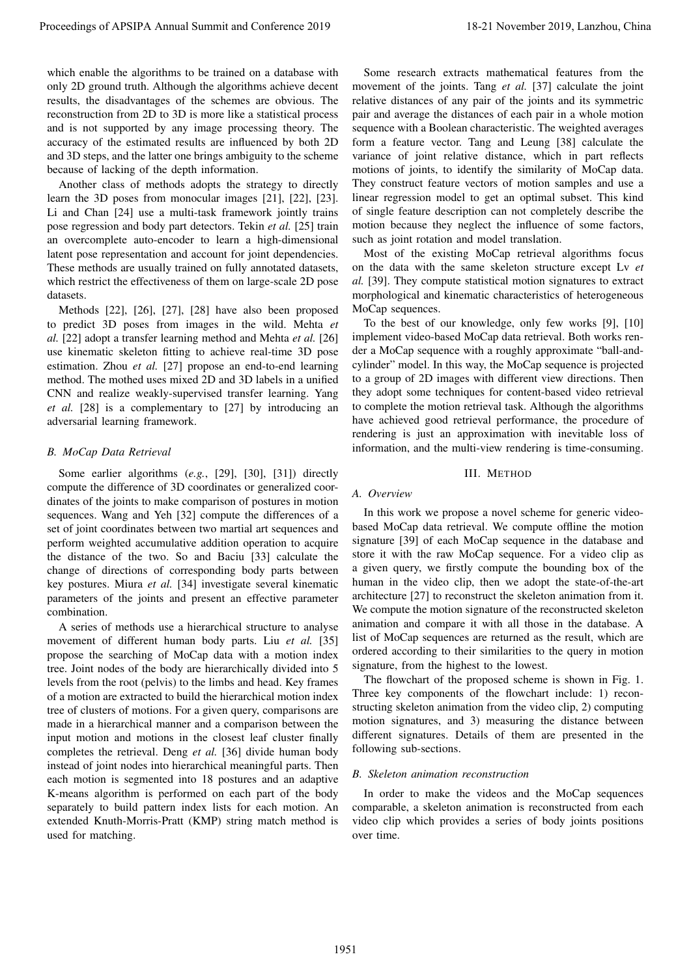which enable the algorithms to be trained on a database with only 2D ground truth. Although the algorithms achieve decent results, the disadvantages of the schemes are obvious. The reconstruction from 2D to 3D is more like a statistical process and is not supported by any image processing theory. The accuracy of the estimated results are influenced by both 2D and 3D steps, and the latter one brings ambiguity to the scheme because of lacking of the depth information.

Another class of methods adopts the strategy to directly learn the 3D poses from monocular images [21], [22], [23]. Li and Chan [24] use a multi-task framework jointly trains pose regression and body part detectors. Tekin *et al.* [25] train an overcomplete auto-encoder to learn a high-dimensional latent pose representation and account for joint dependencies. These methods are usually trained on fully annotated datasets, which restrict the effectiveness of them on large-scale 2D pose datasets.

Methods [22], [26], [27], [28] have also been proposed to predict 3D poses from images in the wild. Mehta *et al.* [22] adopt a transfer learning method and Mehta *et al.* [26] use kinematic skeleton fitting to achieve real-time 3D pose estimation. Zhou *et al.* [27] propose an end-to-end learning method. The mothed uses mixed 2D and 3D labels in a unified CNN and realize weakly-supervised transfer learning. Yang *et al.* [28] is a complementary to [27] by introducing an adversarial learning framework.

## *B. MoCap Data Retrieval*

Some earlier algorithms (*e.g.*, [29], [30], [31]) directly compute the difference of 3D coordinates or generalized coordinates of the joints to make comparison of postures in motion sequences. Wang and Yeh [32] compute the differences of a set of joint coordinates between two martial art sequences and perform weighted accumulative addition operation to acquire the distance of the two. So and Baciu [33] calculate the change of directions of corresponding body parts between key postures. Miura *et al.* [34] investigate several kinematic parameters of the joints and present an effective parameter combination.

A series of methods use a hierarchical structure to analyse movement of different human body parts. Liu *et al.* [35] propose the searching of MoCap data with a motion index tree. Joint nodes of the body are hierarchically divided into 5 levels from the root (pelvis) to the limbs and head. Key frames of a motion are extracted to build the hierarchical motion index tree of clusters of motions. For a given query, comparisons are made in a hierarchical manner and a comparison between the input motion and motions in the closest leaf cluster finally completes the retrieval. Deng *et al.* [36] divide human body instead of joint nodes into hierarchical meaningful parts. Then each motion is segmented into 18 postures and an adaptive K-means algorithm is performed on each part of the body separately to build pattern index lists for each motion. An extended Knuth-Morris-Pratt (KMP) string match method is used for matching. Procedure of APSIPA Annual Summit and Conference 2019.<br>
Unclear the conference 2019 in the conference 2019 in the conference 2019 in the conference 2019 in the conference 2019 in the conference 2019 in the conference 2019

Some research extracts mathematical features from the movement of the joints. Tang *et al.* [37] calculate the joint relative distances of any pair of the joints and its symmetric pair and average the distances of each pair in a whole motion sequence with a Boolean characteristic. The weighted averages form a feature vector. Tang and Leung [38] calculate the variance of joint relative distance, which in part reflects motions of joints, to identify the similarity of MoCap data. They construct feature vectors of motion samples and use a linear regression model to get an optimal subset. This kind of single feature description can not completely describe the motion because they neglect the influence of some factors, such as joint rotation and model translation.

Most of the existing MoCap retrieval algorithms focus on the data with the same skeleton structure except Lv *et al.* [39]. They compute statistical motion signatures to extract morphological and kinematic characteristics of heterogeneous MoCap sequences.

To the best of our knowledge, only few works [9], [10] implement video-based MoCap data retrieval. Both works render a MoCap sequence with a roughly approximate "ball-andcylinder" model. In this way, the MoCap sequence is projected to a group of 2D images with different view directions. Then they adopt some techniques for content-based video retrieval to complete the motion retrieval task. Although the algorithms have achieved good retrieval performance, the procedure of rendering is just an approximation with inevitable loss of information, and the multi-view rendering is time-consuming.

#### III. METHOD

#### *A. Overview*

In this work we propose a novel scheme for generic videobased MoCap data retrieval. We compute offline the motion signature [39] of each MoCap sequence in the database and store it with the raw MoCap sequence. For a video clip as a given query, we firstly compute the bounding box of the human in the video clip, then we adopt the state-of-the-art architecture [27] to reconstruct the skeleton animation from it. We compute the motion signature of the reconstructed skeleton animation and compare it with all those in the database. A list of MoCap sequences are returned as the result, which are ordered according to their similarities to the query in motion signature, from the highest to the lowest.

The flowchart of the proposed scheme is shown in Fig. 1. Three key components of the flowchart include: 1) reconstructing skeleton animation from the video clip, 2) computing motion signatures, and 3) measuring the distance between different signatures. Details of them are presented in the following sub-sections.

# *B. Skeleton animation reconstruction*

In order to make the videos and the MoCap sequences comparable, a skeleton animation is reconstructed from each video clip which provides a series of body joints positions over time.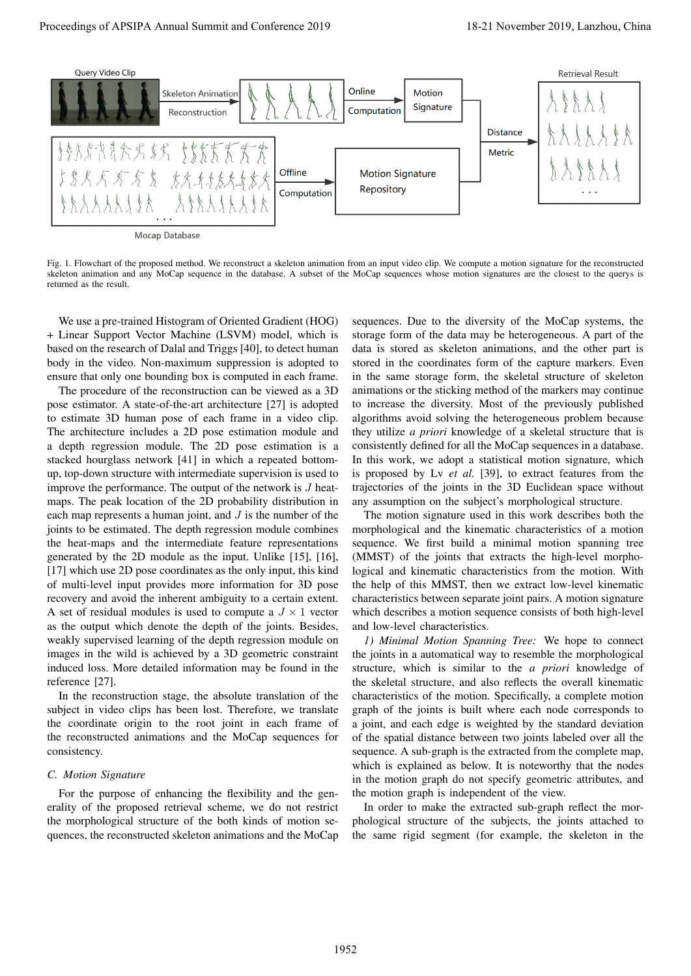

Fig. 1. Flowchart of the proposed method. We reconstruct a skeleton animation from an input video clip. We compute a motion signature for the reconstructed skeleton animation and any MoCap sequence in the database. A subset of the MoCap sequences whose motion signatures are the closest to the querys is returned as the result.

We use a pre-trained Histogram of Oriented Gradient (HOG) + Linear Support Vector Machine (LSVM) model, which is based on the research of Dalal and Triggs [40], to detect human body in the video. Non-maximum suppression is adopted to ensure that only one bounding box is computed in each frame.

The procedure of the reconstruction can be viewed as a 3D pose estimator. A state-of-the-art architecture [27] is adopted to estimate 3D human pose of each frame in a video clip. The architecture includes a 2D pose estimation module and a depth regression module. The 2D pose estimation is a stacked hourglass network [41] in which a repeated bottomup, top-down structure with intermediate supervision is used to improve the performance. The output of the network is  $J$  heatmaps. The peak location of the 2D probability distribution in each map represents a human joint, and  $J$  is the number of the joints to be estimated. The depth regression module combines the heat-maps and the intermediate feature representations generated by the 2D module as the input. Unlike [15], [16], [17] which use 2D pose coordinates as the only input, this kind of multi-level input provides more information for 3D pose recovery and avoid the inherent ambiguity to a certain extent. A set of residual modules is used to compute a  $J \times 1$  vector as the output which denote the depth of the joints. Besides, weakly supervised learning of the depth regression module on images in the wild is achieved by a 3D geometric constraint induced loss. More detailed information may be found in the reference [27].

In the reconstruction stage, the absolute translation of the subject in video clips has been lost. Therefore, we translate the coordinate origin to the root joint in each frame of the reconstructed animations and the MoCap sequences for consistency.

#### *C. Motion Signature*

For the purpose of enhancing the flexibility and the generality of the proposed retrieval scheme, we do not restrict the morphological structure of the both kinds of motion sequences, the reconstructed skeleton animations and the MoCap

sequences. Due to the diversity of the MoCap systems, the storage form of the data may be heterogeneous. A part of the data is stored as skeleton animations, and the other part is stored in the coordinates form of the capture markers. Even in the same storage form, the skeletal structure of skeleton animations or the sticking method of the markers may continue to increase the diversity. Most of the previously published algorithms avoid solving the heterogeneous problem because they utilize *a priori* knowledge of a skeletal structure that is consistently defined for all the MoCap sequences in a database. In this work, we adopt a statistical motion signature, which is proposed by Lv *et al.* [39], to extract features from the trajectories of the joints in the 3D Euclidean space without any assumption on the subject's morphological structure.

The motion signature used in this work describes both the morphological and the kinematic characteristics of a motion sequence. We first build a minimal motion spanning tree (MMST) of the joints that extracts the high-level morphological and kinematic characteristics from the motion. With the help of this MMST, then we extract low-level kinematic characteristics between separate joint pairs. A motion signature which describes a motion sequence consists of both high-level and low-level characteristics.

*1) Minimal Motion Spanning Tree:* We hope to connect the joints in a automatical way to resemble the morphological structure, which is similar to the *a priori* knowledge of the skeletal structure, and also reflects the overall kinematic characteristics of the motion. Specifically, a complete motion graph of the joints is built where each node corresponds to a joint, and each edge is weighted by the standard deviation of the spatial distance between two joints labeled over all the sequence. A sub-graph is the extracted from the complete map, which is explained as below. It is noteworthy that the nodes in the motion graph do not specify geometric attributes, and the motion graph is independent of the view.

In order to make the extracted sub-graph reflect the morphological structure of the subjects, the joints attached to the same rigid segment (for example, the skeleton in the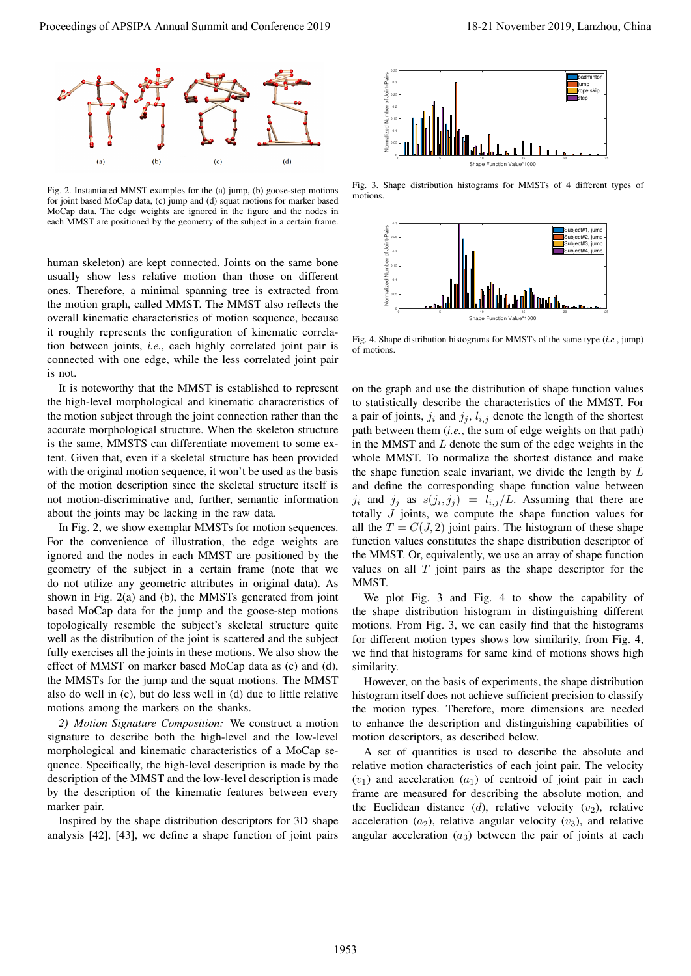

Fig. 2. Instantiated MMST examples for the (a) jump, (b) goose-step motions for joint based MoCap data, (c) jump and (d) squat motions for marker based MoCap data. The edge weights are ignored in the figure and the nodes in each MMST are positioned by the geometry of the subject in a certain frame.

human skeleton) are kept connected. Joints on the same bone usually show less relative motion than those on different ones. Therefore, a minimal spanning tree is extracted from the motion graph, called MMST. The MMST also reflects the overall kinematic characteristics of motion sequence, because it roughly represents the configuration of kinematic correlation between joints, *i.e.*, each highly correlated joint pair is connected with one edge, while the less correlated joint pair is not.

It is noteworthy that the MMST is established to represent the high-level morphological and kinematic characteristics of the motion subject through the joint connection rather than the accurate morphological structure. When the skeleton structure is the same, MMSTS can differentiate movement to some extent. Given that, even if a skeletal structure has been provided with the original motion sequence, it won't be used as the basis of the motion description since the skeletal structure itself is not motion-discriminative and, further, semantic information about the joints may be lacking in the raw data.

In Fig. 2, we show exemplar MMSTs for motion sequences. For the convenience of illustration, the edge weights are ignored and the nodes in each MMST are positioned by the geometry of the subject in a certain frame (note that we do not utilize any geometric attributes in original data). As shown in Fig. 2(a) and (b), the MMSTs generated from joint based MoCap data for the jump and the goose-step motions topologically resemble the subject's skeletal structure quite well as the distribution of the joint is scattered and the subject fully exercises all the joints in these motions. We also show the effect of MMST on marker based MoCap data as (c) and (d), the MMSTs for the jump and the squat motions. The MMST also do well in (c), but do less well in (d) due to little relative motions among the markers on the shanks.

*2) Motion Signature Composition:* We construct a motion signature to describe both the high-level and the low-level morphological and kinematic characteristics of a MoCap sequence. Specifically, the high-level description is made by the description of the MMST and the low-level description is made by the description of the kinematic features between every marker pair.

Inspired by the shape distribution descriptors for 3D shape analysis [42], [43], we define a shape function of joint pairs



Fig. 3. Shape distribution histograms for MMSTs of 4 different types of motions.



Fig. 4. Shape distribution histograms for MMSTs of the same type (*i.e.*, jump) of motions.

on the graph and use the distribution of shape function values to statistically describe the characteristics of the MMST. For a pair of joints,  $j_i$  and  $j_j$ ,  $l_{i,j}$  denote the length of the shortest path between them (*i.e.*, the sum of edge weights on that path) in the MMST and  $L$  denote the sum of the edge weights in the whole MMST. To normalize the shortest distance and make the shape function scale invariant, we divide the length by  $L$ and define the corresponding shape function value between  $j_i$  and  $j_j$  as  $s(j_i, j_j) = l_{i,j}/L$ . Assuming that there are totally  $J$  joints, we compute the shape function values for all the  $T = C(J, 2)$  joint pairs. The histogram of these shape function values constitutes the shape distribution descriptor of the MMST. Or, equivalently, we use an array of shape function values on all  $T$  joint pairs as the shape descriptor for the MMST. **Proceeding of APSIPA Annual Summit and Conference 2019**<br> **Proceedings of APSIPA Annual Summit and Conference 2019**<br> **Proceeding of APSIPA Annual Summit and Conference 2019**<br> **Proceeding of APSIPA Annual Summit and Confer** 

We plot Fig. 3 and Fig. 4 to show the capability of the shape distribution histogram in distinguishing different motions. From Fig. 3, we can easily find that the histograms for different motion types shows low similarity, from Fig. 4, we find that histograms for same kind of motions shows high similarity.

However, on the basis of experiments, the shape distribution histogram itself does not achieve sufficient precision to classify the motion types. Therefore, more dimensions are needed to enhance the description and distinguishing capabilities of motion descriptors, as described below.

A set of quantities is used to describe the absolute and relative motion characteristics of each joint pair. The velocity  $(v_1)$  and acceleration  $(a_1)$  of centroid of joint pair in each frame are measured for describing the absolute motion, and the Euclidean distance  $(d)$ , relative velocity  $(v_2)$ , relative acceleration  $(a_2)$ , relative angular velocity  $(v_3)$ , and relative angular acceleration  $(a_3)$  between the pair of joints at each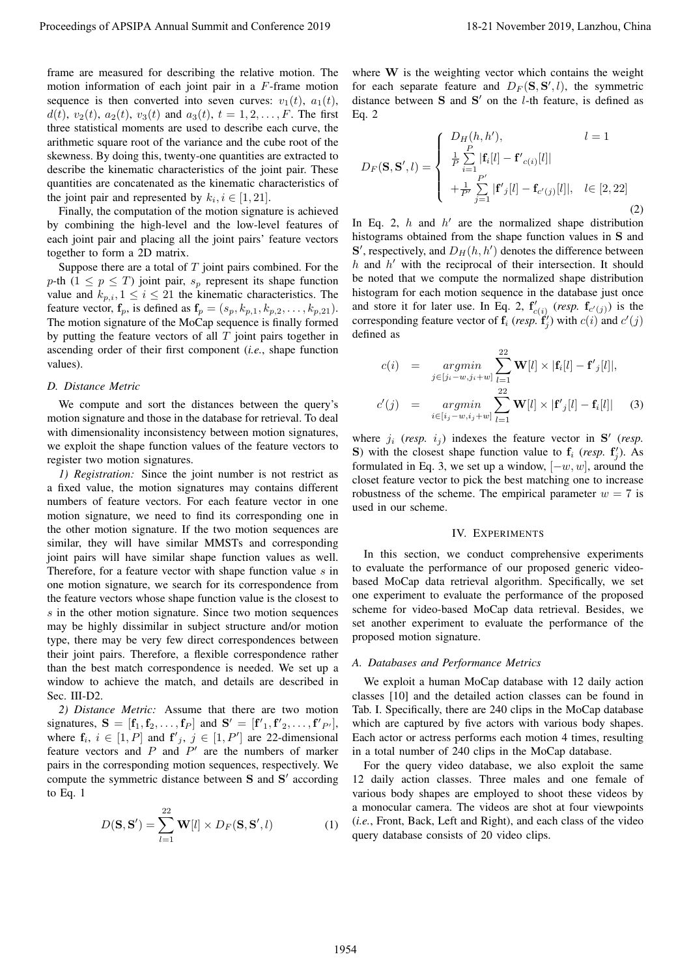frame are measured for describing the relative motion. The motion information of each joint pair in a F-frame motion sequence is then converted into seven curves:  $v_1(t)$ ,  $a_1(t)$ ,  $d(t)$ ,  $v_2(t)$ ,  $a_2(t)$ ,  $v_3(t)$  and  $a_3(t)$ ,  $t = 1, 2, ..., F$ . The first three statistical moments are used to describe each curve, the arithmetic square root of the variance and the cube root of the skewness. By doing this, twenty-one quantities are extracted to describe the kinematic characteristics of the joint pair. These quantities are concatenated as the kinematic characteristics of the joint pair and represented by  $k_i, i \in [1, 21]$ .

Finally, the computation of the motion signature is achieved by combining the high-level and the low-level features of each joint pair and placing all the joint pairs' feature vectors together to form a 2D matrix.

Suppose there are a total of  $T$  joint pairs combined. For the p-th  $(1 \leq p \leq T)$  joint pair,  $s_p$  represent its shape function value and  $k_{p,i}$ ,  $1 \leq i \leq 21$  the kinematic characteristics. The feature vector,  $f_p$ , is defined as  $f_p = (s_p, k_{p,1}, k_{p,2}, \ldots, k_{p,21}).$ The motion signature of the MoCap sequence is finally formed by putting the feature vectors of all  $T$  joint pairs together in ascending order of their first component (*i.e.*, shape function values).

#### *D. Distance Metric*

We compute and sort the distances between the query's motion signature and those in the database for retrieval. To deal with dimensionality inconsistency between motion signatures, we exploit the shape function values of the feature vectors to register two motion signatures.

*1) Registration:* Since the joint number is not restrict as a fixed value, the motion signatures may contains different numbers of feature vectors. For each feature vector in one motion signature, we need to find its corresponding one in the other motion signature. If the two motion sequences are similar, they will have similar MMSTs and corresponding joint pairs will have similar shape function values as well. Therefore, for a feature vector with shape function value s in one motion signature, we search for its correspondence from the feature vectors whose shape function value is the closest to s in the other motion signature. Since two motion sequences may be highly dissimilar in subject structure and/or motion type, there may be very few direct correspondences between their joint pairs. Therefore, a flexible correspondence rather than the best match correspondence is needed. We set up a window to achieve the match, and details are described in Sec. III-D2. Proceeding of APSIPA Annual Summit of Conference 2019.<br>
The main of the summit and conference 2019, a share with the summit and conference and the summit and conference 2019, a state of the summit and conference 2019, a s

*2) Distance Metric:* Assume that there are two motion signatures,  $S = [f_1, f_2, \dots, f_P]$  and  $S' = [f'_1, f'_2, \dots, f'_{P'}]$ , where  $f_i$ ,  $i \in [1, P]$  and  $f'_j$ ,  $j \in [1, P']$  are 22-dimensional feature vectors and  $P$  and  $P'$  are the numbers of marker pairs in the corresponding motion sequences, respectively. We compute the symmetric distance between S and S' according to Eq. 1

$$
D(\mathbf{S}, \mathbf{S}') = \sum_{l=1}^{22} \mathbf{W}[l] \times D_F(\mathbf{S}, \mathbf{S}', l)
$$
 (1)

where  $W$  is the weighting vector which contains the weight for each separate feature and  $D_F(S, S', l)$ , the symmetric distance between  $S$  and  $S'$  on the *l*-th feature, is defined as Eq. 2

$$
D_{F}(\mathbf{S}, \mathbf{S}', l) = \begin{cases} D_{H}(h, h'), & l = 1\\ \frac{1}{P} \sum_{i=1}^{P} |\mathbf{f}_{i}[l] - \mathbf{f}'_{c(i)}[l]| \\ + \frac{1}{P'} \sum_{j=1}^{P'} |\mathbf{f}'_{j}[l] - \mathbf{f}_{c'(j)}[l]|, & l \in [2, 22] \end{cases}
$$
(2)

In Eq. 2,  $h$  and  $h'$  are the normalized shape distribution histograms obtained from the shape function values in S and  $S'$ , respectively, and  $D_H(h, h')$  denotes the difference between  $h$  and  $h'$  with the reciprocal of their intersection. It should be noted that we compute the normalized shape distribution histogram for each motion sequence in the database just once and store it for later use. In Eq. 2,  $f'_{c(i)}$  (*resp.*  $f_{c'(j)}$ ) is the corresponding feature vector of  $f_i$  (*resp.*  $f'_j$ ) with  $c(i)$  and  $c'(j)$ defined as

$$
c(i) = \underset{j \in [j_i - w, j_i + w]}{\operatorname{argmin}} \sum_{l=1}^{22} \mathbf{W}[l] \times |\mathbf{f}_i[l] - \mathbf{f'}_j[l]|,
$$
  

$$
c'(j) = \underset{i \in [i_j - w, i_j + w]}{\operatorname{argmin}} \sum_{l=1}^{22} \mathbf{W}[l] \times |\mathbf{f'}_j[l] - \mathbf{f}_i[l]| \quad (3)
$$

where  $j_i$  (*resp.*  $i_j$ ) indexes the feature vector in  $S'$  (*resp.* S) with the closest shape function value to  $f_i$  (*resp.*  $f'_j$ ). As formulated in Eq. 3, we set up a window,  $[-w, w]$ , around the closet feature vector to pick the best matching one to increase robustness of the scheme. The empirical parameter  $w = 7$  is used in our scheme.

#### IV. EXPERIMENTS

In this section, we conduct comprehensive experiments to evaluate the performance of our proposed generic videobased MoCap data retrieval algorithm. Specifically, we set one experiment to evaluate the performance of the proposed scheme for video-based MoCap data retrieval. Besides, we set another experiment to evaluate the performance of the proposed motion signature.

#### *A. Databases and Performance Metrics*

We exploit a human MoCap database with 12 daily action classes [10] and the detailed action classes can be found in Tab. I. Specifically, there are 240 clips in the MoCap database which are captured by five actors with various body shapes. Each actor or actress performs each motion 4 times, resulting in a total number of 240 clips in the MoCap database.

For the query video database, we also exploit the same 12 daily action classes. Three males and one female of various body shapes are employed to shoot these videos by a monocular camera. The videos are shot at four viewpoints (*i.e.*, Front, Back, Left and Right), and each class of the video query database consists of 20 video clips.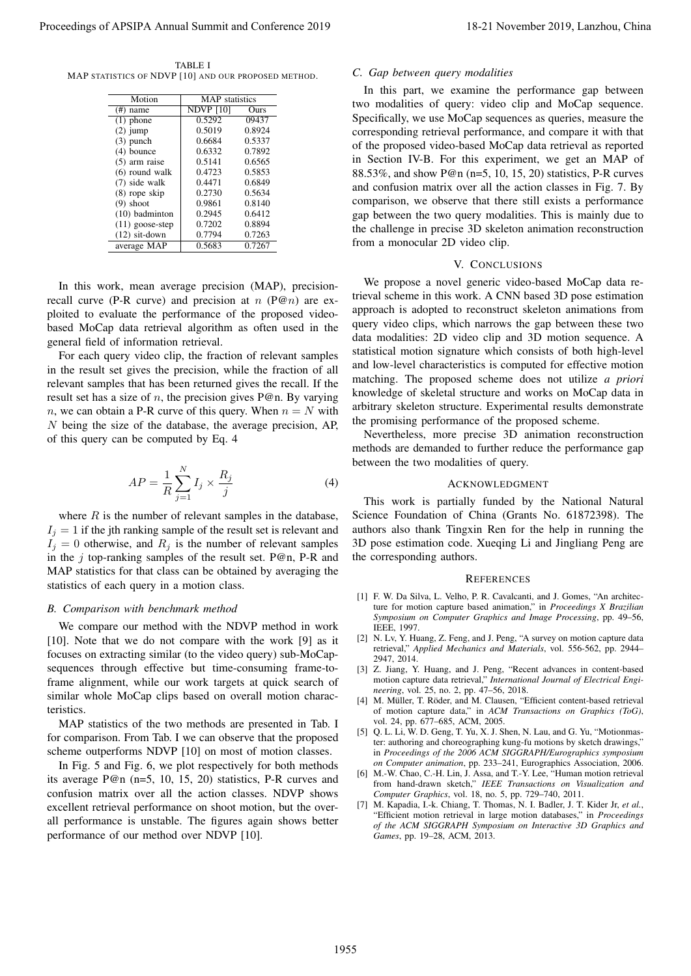TABLE I MAP STATISTICS OF NDVP [10] AND OUR PROPOSED METHOD.

| Motion            | <b>MAP</b> statistics |        |
|-------------------|-----------------------|--------|
| $(\#)$ name       | <b>NDVP</b> [10]      | Ours   |
| $(1)$ phone       | 0.5292                | 09437  |
| $(2)$ jump        | 0.5019                | 0.8924 |
| $(3)$ punch       | 0.6684                | 0.5337 |
| $(4)$ bounce      | 0.6332                | 0.7892 |
| $(5)$ arm raise   | 0.5141                | 0.6565 |
| $(6)$ round walk  | 0.4723                | 0.5853 |
| $(7)$ side walk   | 0.4471                | 0.6849 |
| (8) rope skip     | 0.2730                | 0.5634 |
| $(9)$ shoot       | 0.9861                | 0.8140 |
| $(10)$ badminton  | 0.2945                | 0.6412 |
| $(11)$ goose-step | 0.7202                | 0.8894 |
| $(12)$ sit-down   | 0.7794                | 0.7263 |
| average MAP       | 0.5683                | 0.7267 |

In this work, mean average precision (MAP), precisionrecall curve (P-R curve) and precision at  $n$  (P@n) are exploited to evaluate the performance of the proposed videobased MoCap data retrieval algorithm as often used in the general field of information retrieval.

For each query video clip, the fraction of relevant samples in the result set gives the precision, while the fraction of all relevant samples that has been returned gives the recall. If the result set has a size of  $n$ , the precision gives P@n. By varying n, we can obtain a P-R curve of this query. When  $n = N$  with N being the size of the database, the average precision, AP, of this query can be computed by Eq. 4

$$
AP = \frac{1}{R} \sum_{j=1}^{N} I_j \times \frac{R_j}{j}
$$
 (4)

where  $R$  is the number of relevant samples in the database,  $I_i = 1$  if the jth ranking sample of the result set is relevant and  $I_j = 0$  otherwise, and  $R_j$  is the number of relevant samples in the  $j$  top-ranking samples of the result set. P@n, P-R and MAP statistics for that class can be obtained by averaging the statistics of each query in a motion class.

#### *B. Comparison with benchmark method*

We compare our method with the NDVP method in work [10]. Note that we do not compare with the work [9] as it focuses on extracting similar (to the video query) sub-MoCapsequences through effective but time-consuming frame-toframe alignment, while our work targets at quick search of similar whole MoCap clips based on overall motion characteristics.

MAP statistics of the two methods are presented in Tab. I for comparison. From Tab. I we can observe that the proposed scheme outperforms NDVP [10] on most of motion classes.

In Fig. 5 and Fig. 6, we plot respectively for both methods its average P@n (n=5, 10, 15, 20) statistics, P-R curves and confusion matrix over all the action classes. NDVP shows excellent retrieval performance on shoot motion, but the overall performance is unstable. The figures again shows better performance of our method over NDVP [10].

# *C. Gap between query modalities*

In this part, we examine the performance gap between two modalities of query: video clip and MoCap sequence. Specifically, we use MoCap sequences as queries, measure the corresponding retrieval performance, and compare it with that of the proposed video-based MoCap data retrieval as reported in Section IV-B. For this experiment, we get an MAP of 88.53%, and show P@n (n=5, 10, 15, 20) statistics, P-R curves and confusion matrix over all the action classes in Fig. 7. By comparison, we observe that there still exists a performance gap between the two query modalities. This is mainly due to the challenge in precise 3D skeleton animation reconstruction from a monocular 2D video clip. Proceedings of APSIPA Annual Summit and Conference 2019 18-21 November 2019, Lanzhou, China 1955

#### V. CONCLUSIONS

We propose a novel generic video-based MoCap data retrieval scheme in this work. A CNN based 3D pose estimation approach is adopted to reconstruct skeleton animations from query video clips, which narrows the gap between these two data modalities: 2D video clip and 3D motion sequence. A statistical motion signature which consists of both high-level and low-level characteristics is computed for effective motion matching. The proposed scheme does not utilize *a priori* knowledge of skeletal structure and works on MoCap data in arbitrary skeleton structure. Experimental results demonstrate the promising performance of the proposed scheme.

Nevertheless, more precise 3D animation reconstruction methods are demanded to further reduce the performance gap between the two modalities of query.

#### ACKNOWLEDGMENT

This work is partially funded by the National Natural Science Foundation of China (Grants No. 61872398). The authors also thank Tingxin Ren for the help in running the 3D pose estimation code. Xueqing Li and Jingliang Peng are the corresponding authors.

#### **REFERENCES**

- [1] F. W. Da Silva, L. Velho, P. R. Cavalcanti, and J. Gomes, "An architecture for motion capture based animation," in *Proceedings X Brazilian Symposium on Computer Graphics and Image Processing*, pp. 49–56, IEEE, 1997.
- [2] N. Lv, Y. Huang, Z. Feng, and J. Peng, "A survey on motion capture data retrieval," *Applied Mechanics and Materials*, vol. 556-562, pp. 2944– 2947, 2014.
- [3] Z. Jiang, Y. Huang, and J. Peng, "Recent advances in content-based motion capture data retrieval," *International Journal of Electrical Engineering*, vol. 25, no. 2, pp. 47–56, 2018.
- [4] M. Müller, T. Röder, and M. Clausen, "Efficient content-based retrieval of motion capture data," in *ACM Transactions on Graphics (ToG)*, vol. 24, pp. 677–685, ACM, 2005.
- [5] Q. L. Li, W. D. Geng, T. Yu, X. J. Shen, N. Lau, and G. Yu, "Motionmaster: authoring and choreographing kung-fu motions by sketch drawings," in *Proceedings of the 2006 ACM SIGGRAPH/Eurographics symposium on Computer animation*, pp. 233–241, Eurographics Association, 2006.
- [6] M.-W. Chao, C.-H. Lin, J. Assa, and T.-Y. Lee, "Human motion retrieval from hand-drawn sketch," *IEEE Transactions on Visualization and Computer Graphics*, vol. 18, no. 5, pp. 729–740, 2011.
- [7] M. Kapadia, I.-k. Chiang, T. Thomas, N. I. Badler, J. T. Kider Jr, *et al.*, "Efficient motion retrieval in large motion databases," in *Proceedings of the ACM SIGGRAPH Symposium on Interactive 3D Graphics and Games*, pp. 19–28, ACM, 2013.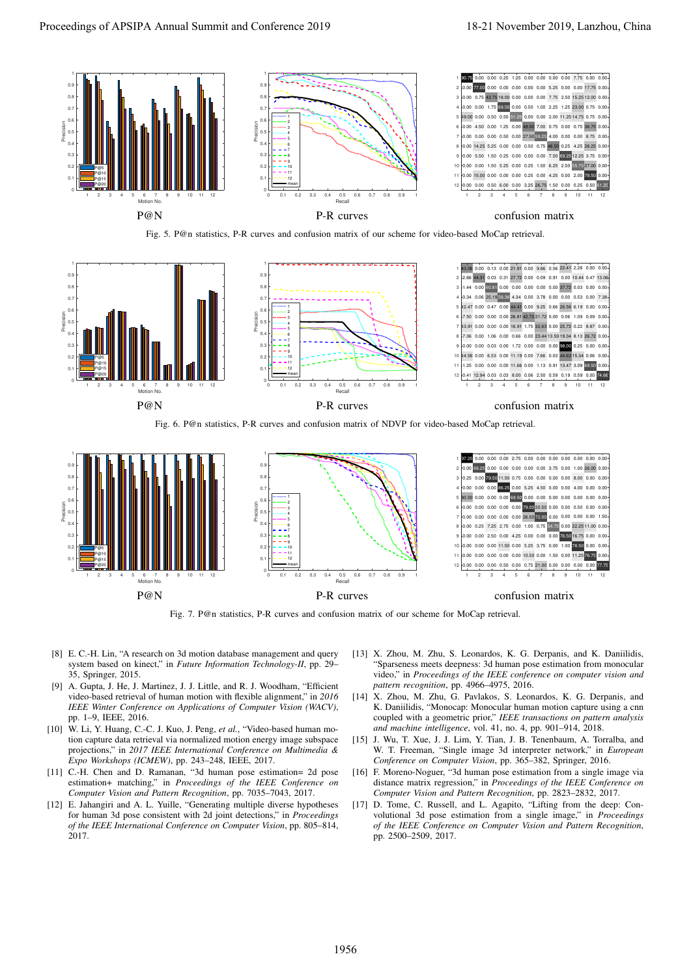

Fig. 5. P@n statistics, P-R curves and confusion matrix of our scheme for video-based MoCap retrieval.



Fig. 6. P@n statistics, P-R curves and confusion matrix of NDVP for video-based MoCap retrieval.



Fig. 7. P@n statistics, P-R curves and confusion matrix of our scheme for MoCap retrieval.

- [8] E. C.-H. Lin, "A research on 3d motion database management and query system based on kinect," in *Future Information Technology-II*, pp. 29– 35, Springer, 2015.
- [9] A. Gupta, J. He, J. Martinez, J. J. Little, and R. J. Woodham, "Efficient video-based retrieval of human motion with flexible alignment," in *2016 IEEE Winter Conference on Applications of Computer Vision (WACV)*, pp. 1–9, IEEE, 2016.
- [10] W. Li, Y. Huang, C.-C. J. Kuo, J. Peng, *et al.*, "Video-based human motion capture data retrieval via normalized motion energy image subspace projections," in *2017 IEEE International Conference on Multimedia & Expo Workshops (ICMEW)*, pp. 243–248, IEEE, 2017.
- [11] C.-H. Chen and D. Ramanan, "3d human pose estimation= 2d pose estimation+ matching," in *Proceedings of the IEEE Conference on Computer Vision and Pattern Recognition*, pp. 7035–7043, 2017.
- [12] E. Jahangiri and A. L. Yuille, "Generating multiple diverse hypotheses for human 3d pose consistent with 2d joint detections," in *Proceedings of the IEEE International Conference on Computer Vision*, pp. 805–814, 2017.
- [13] X. Zhou, M. Zhu, S. Leonardos, K. G. Derpanis, and K. Daniilidis, "Sparseness meets deepness: 3d human pose estimation from monocular video," in *Proceedings of the IEEE conference on computer vision and pattern recognition*, pp. 4966–4975, 2016.
- [14] X. Zhou, M. Zhu, G. Pavlakos, S. Leonardos, K. G. Derpanis, and K. Daniilidis, "Monocap: Monocular human motion capture using a cnn coupled with a geometric prior," *IEEE transactions on pattern analysis and machine intelligence*, vol. 41, no. 4, pp. 901–914, 2018.
- [15] J. Wu, T. Xue, J. J. Lim, Y. Tian, J. B. Tenenbaum, A. Torralba, and W. T. Freeman, "Single image 3d interpreter network," in *European Conference on Computer Vision*, pp. 365–382, Springer, 2016.
- [16] F. Moreno-Noguer, "3d human pose estimation from a single image via distance matrix regression," in *Proceedings of the IEEE Conference on Computer Vision and Pattern Recognition*, pp. 2823–2832, 2017.
- [17] D. Tome, C. Russell, and L. Agapito, "Lifting from the deep: Convolutional 3d pose estimation from a single image," in *Proceedings of the IEEE Conference on Computer Vision and Pattern Recognition*, pp. 2500–2509, 2017.